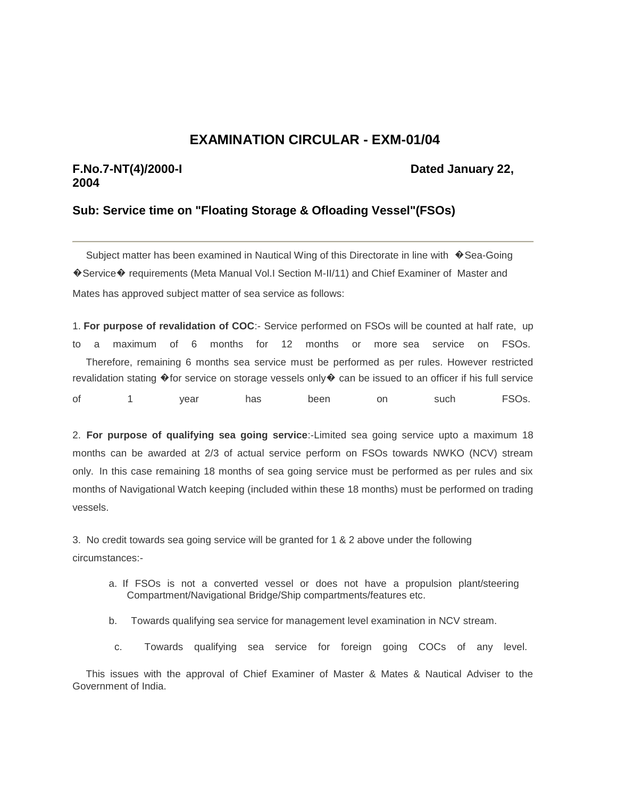## **EXAMINATION CIRCULAR - EXM-01/04**

## **F.No.7-NT(4)/2000-I Dated January 22, 2004**

## **Sub: Service time on "Floating Storage & Ofloading Vessel"(FSOs)**

Subject matter has been examined in Nautical Wing of this Directorate in line with �Sea-Going �Service� requirements (Meta Manual Vol.I Section M-II/11) and Chief Examiner of Master and Mates has approved subject matter of sea service as follows:

1. **For purpose of revalidation of COC**:- Service performed on FSOs will be counted at half rate, up to a maximum of 6 months for 12 months or more sea service on FSOs. Therefore, remaining 6 months sea service must be performed as per rules. However restricted revalidation stating �for service on storage vessels only� can be issued to an officer if his full service of 1 year has been on such FSOs.

2. **For purpose of qualifying sea going service**:-Limited sea going service upto a maximum 18 months can be awarded at 2/3 of actual service perform on FSOs towards NWKO (NCV) stream only. In this case remaining 18 months of sea going service must be performed as per rules and six months of Navigational Watch keeping (included within these 18 months) must be performed on trading vessels.

3. No credit towards sea going service will be granted for 1 & 2 above under the following circumstances:-

- a. If FSOs is not a converted vessel or does not have a propulsion plant/steering Compartment/Navigational Bridge/Ship compartments/features etc.
- b. Towards qualifying sea service for management level examination in NCV stream.
- c. Towards qualifying sea service for foreign going COCs of any level.

 This issues with the approval of Chief Examiner of Master & Mates & Nautical Adviser to the Government of India.